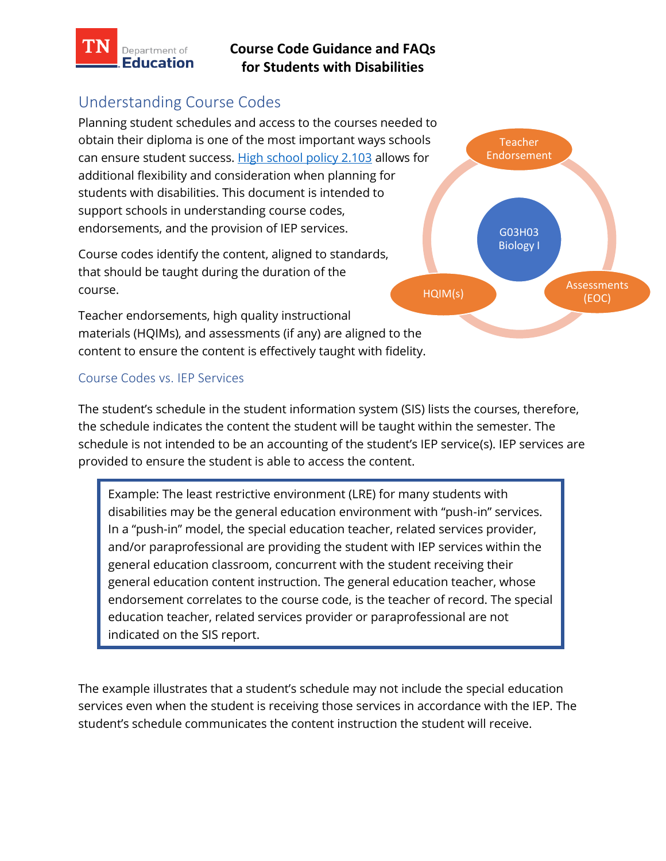

# Understanding Course Codes

Planning student schedules and access to the courses needed to obtain their diploma is one of the most important ways schools can ensure student success. [High school policy 2.103](https://www.tn.gov/sbe/rules--policies-and-guidance/policies.html) allows for additional flexibility and consideration when planning for students with disabilities. This document is intended to support schools in understanding course codes, endorsements, and the provision of IEP services.

Course codes identify the content, aligned to standards, that should be taught during the duration of the course.

Teacher endorsements, high quality instructional materials (HQIMs), and assessments (if any) are aligned to the content to ensure the content is effectively taught with fidelity.

#### Course Codes vs. IEP Services

The student's schedule in the student information system (SIS) lists the courses, therefore, the schedule indicates the content the student will be taught within the semester. The schedule is not intended to be an accounting of the student's IEP service(s). IEP services are provided to ensure the student is able to access the content.

Example: The least restrictive environment (LRE) for many students with disabilities may be the general education environment with "push-in" services. In a "push-in" model, the special education teacher, related services provider, and/or paraprofessional are providing the student with IEP services within the general education classroom, concurrent with the student receiving their general education content instruction. The general education teacher, whose endorsement correlates to the course code, is the teacher of record. The special education teacher, related services provider or paraprofessional are not indicated on the SIS report.

The example illustrates that a student's schedule may not include the special education services even when the student is receiving those services in accordance with the IEP. The student's schedule communicates the content instruction the student will receive.

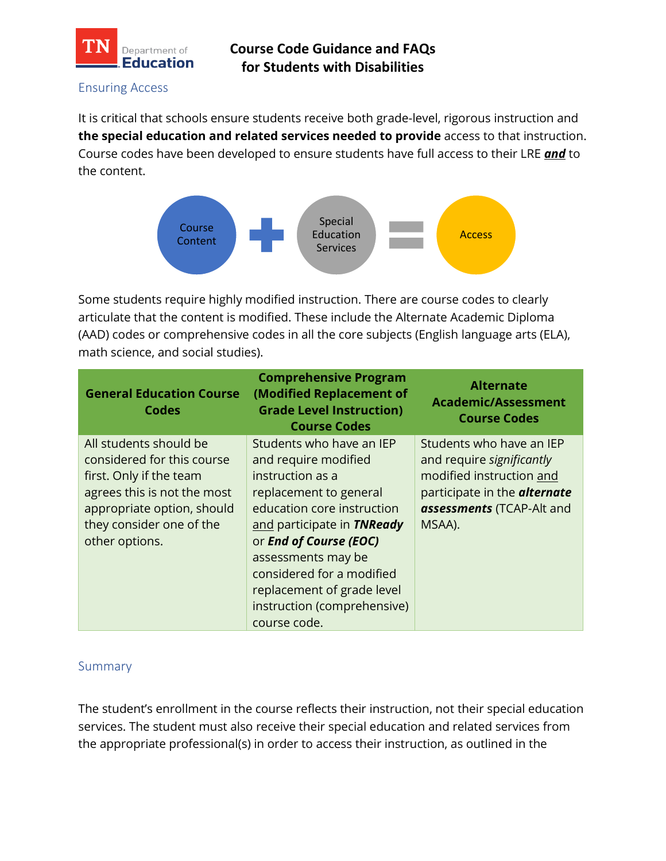

#### Ensuring Access

It is critical that schools ensure students receive both grade-level, rigorous instruction and **the special education and related services needed to provide** access to that instruction. Course codes have been developed to ensure students have full access to their LRE *and* to the content.



Some students require highly modified instruction. There are course codes to clearly articulate that the content is modified. These include the Alternate Academic Diploma (AAD) codes or comprehensive codes in all the core subjects (English language arts (ELA), math science, and social studies).

| <b>General Education Course</b><br><b>Codes</b>                                                                                                                                            | <b>Comprehensive Program</b><br>(Modified Replacement of<br><b>Grade Level Instruction)</b><br><b>Course Codes</b>                                                                                                                                                                                                                 | <b>Alternate</b><br><b>Academic/Assessment</b><br><b>Course Codes</b>                                                                                           |
|--------------------------------------------------------------------------------------------------------------------------------------------------------------------------------------------|------------------------------------------------------------------------------------------------------------------------------------------------------------------------------------------------------------------------------------------------------------------------------------------------------------------------------------|-----------------------------------------------------------------------------------------------------------------------------------------------------------------|
| All students should be<br>considered for this course<br>first. Only if the team<br>agrees this is not the most<br>appropriate option, should<br>they consider one of the<br>other options. | Students who have an IEP<br>and require modified<br>instruction as a<br>replacement to general<br>education core instruction<br>and participate in <b>TNReady</b><br>or <i>End of Course (EOC)</i><br>assessments may be<br>considered for a modified<br>replacement of grade level<br>instruction (comprehensive)<br>course code. | Students who have an IEP<br>and require significantly<br>modified instruction and<br>participate in the <b>alternate</b><br>assessments (TCAP-Alt and<br>MSAA). |

#### Summary

The student's enrollment in the course reflects their instruction, not their special education services. The student must also receive their special education and related services from the appropriate professional(s) in order to access their instruction, as outlined in the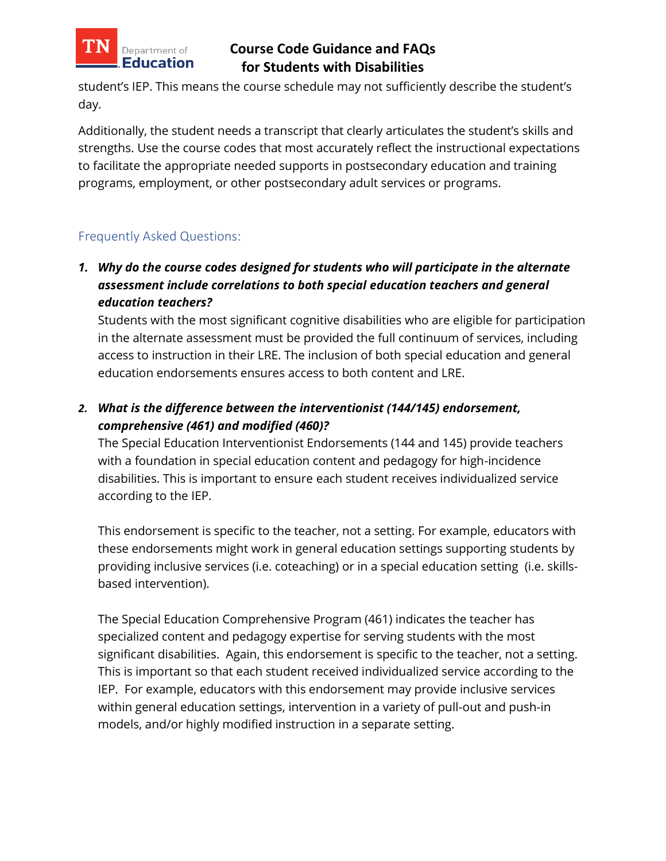

student's IEP. This means the course schedule may not sufficiently describe the student's day.

Additionally, the student needs a transcript that clearly articulates the student's skills and strengths. Use the course codes that most accurately reflect the instructional expectations to facilitate the appropriate needed supports in postsecondary education and training programs, employment, or other postsecondary adult services or programs.

## Frequently Asked Questions:

*1. Why do the course codes designed for students who will participate in the alternate assessment include correlations to both special education teachers and general education teachers?* 

Students with the most significant cognitive disabilities who are eligible for participation in the alternate assessment must be provided the full continuum of services, including access to instruction in their LRE. The inclusion of both special education and general education endorsements ensures access to both content and LRE.

*2. What is the difference between the interventionist (144/145) endorsement, comprehensive (461) and modified (460)?* 

The Special Education Interventionist Endorsements (144 and 145) provide teachers with a foundation in special education content and pedagogy for high-incidence disabilities. This is important to ensure each student receives individualized service according to the IEP.

This endorsement is specific to the teacher, not a setting. For example, educators with these endorsements might work in general education settings supporting students by providing inclusive services (i.e. coteaching) or in a special education setting (i.e. skillsbased intervention).

The Special Education Comprehensive Program (461) indicates the teacher has specialized content and pedagogy expertise for serving students with the most significant disabilities. Again, this endorsement is specific to the teacher, not a setting. This is important so that each student received individualized service according to the IEP. For example, educators with this endorsement may provide inclusive services within general education settings, intervention in a variety of pull-out and push-in models, and/or highly modified instruction in a separate setting.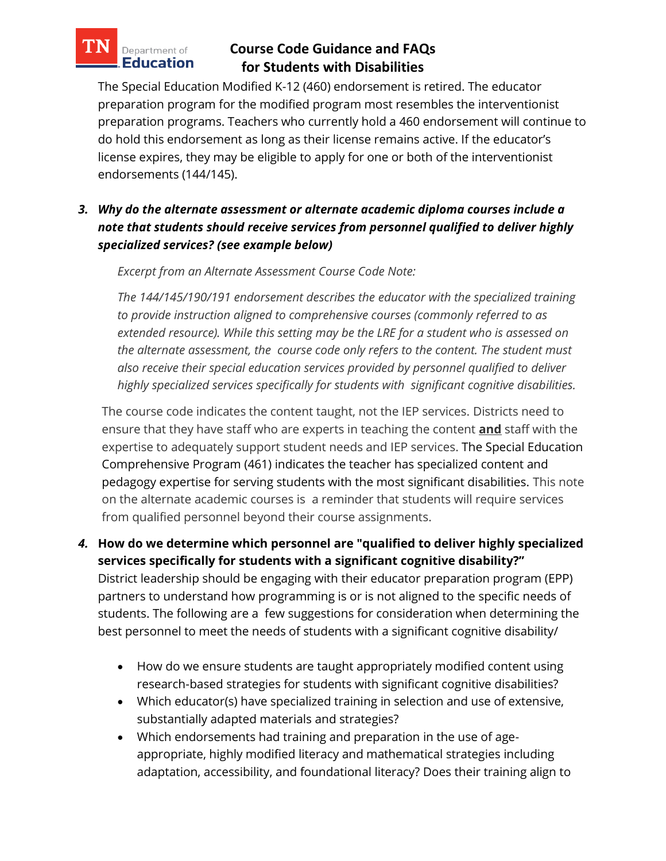#### TN. Department of **Education**

## **Course Code Guidance and FAQs for Students with Disabilities**

The Special Education Modified K-12 (460) endorsement is retired. The educator preparation program for the modified program most resembles the interventionist preparation programs. Teachers who currently hold a 460 endorsement will continue to do hold this endorsement as long as their license remains active. If the educator's license expires, they may be eligible to apply for one or both of the interventionist endorsements (144/145).

## *3. Why do the alternate assessment or alternate academic diploma courses include a note that students should receive services from personnel qualified to deliver highly specialized services? (see example below)*

*Excerpt from an Alternate Assessment Course Code Note:*

*The 144/145/190/191 endorsement describes the educator with the specialized training to provide instruction aligned to comprehensive courses (commonly referred to as extended resource). While this setting may be the LRE for a student who is assessed on the alternate assessment, the course code only refers to the content. The student must also receive their special education services provided by personnel qualified to deliver highly specialized services specifically for students with significant cognitive disabilities.*

The course code indicates the content taught, not the IEP services. Districts need to ensure that they have staff who are experts in teaching the content **and** staff with the expertise to adequately support student needs and IEP services. The Special Education Comprehensive Program (461) indicates the teacher has specialized content and pedagogy expertise for serving students with the most significant disabilities. This note on the alternate academic courses is a reminder that students will require services from qualified personnel beyond their course assignments.

*4.* **How do we determine which personnel are "qualified to deliver highly specialized services specifically for students with a significant cognitive disability?"** 

District leadership should be engaging with their educator preparation program (EPP) partners to understand how programming is or is not aligned to the specific needs of students. The following are a few suggestions for consideration when determining the best personnel to meet the needs of students with a significant cognitive disability/

- How do we ensure students are taught appropriately modified content using research-based strategies for students with significant cognitive disabilities?
- Which educator(s) have specialized training in selection and use of extensive, substantially adapted materials and strategies?
- Which endorsements had training and preparation in the use of ageappropriate, highly modified literacy and mathematical strategies including adaptation, accessibility, and foundational literacy? Does their training align to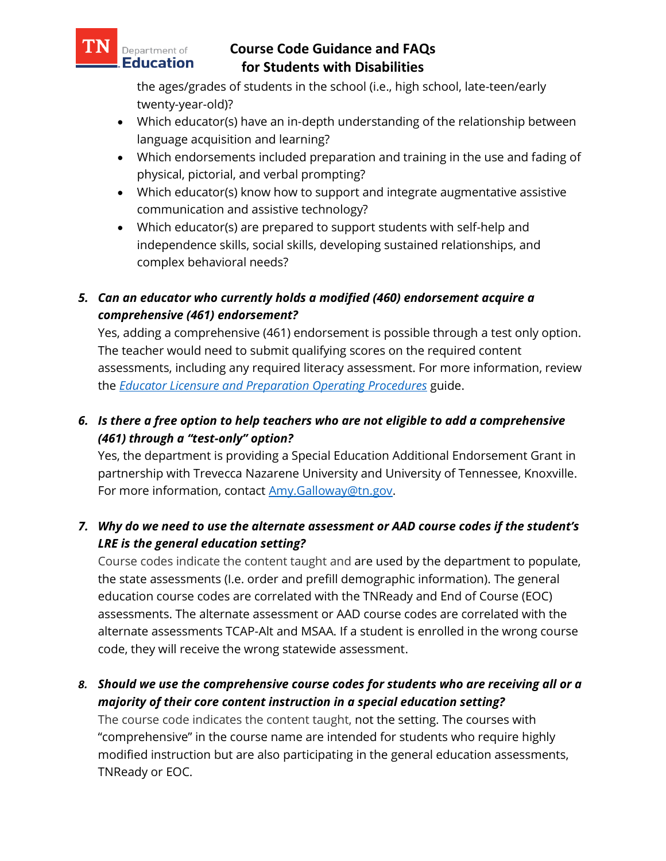Department of Education

## **Course Code Guidance and FAQs for Students with Disabilities**

the ages/grades of students in the school (i.e., high school, late-teen/early twenty-year-old)?

- Which educator(s) have an in-depth understanding of the relationship between language acquisition and learning?
- Which endorsements included preparation and training in the use and fading of physical, pictorial, and verbal prompting?
- Which educator(s) know how to support and integrate augmentative assistive communication and assistive technology?
- Which educator(s) are prepared to support students with self-help and independence skills, social skills, developing sustained relationships, and complex behavioral needs?

## *5. Can an educator who currently holds a modified (460) endorsement acquire a comprehensive (461) endorsement?*

Yes, adding a comprehensive (461) endorsement is possible through a test only option. The teacher would need to submit qualifying scores on the required content assessments, including any required literacy assessment. For more information, review the *[Educator Licensure and Preparation Operating Procedures](https://www.tn.gov/content/dam/tn/education/forms/1EducatorLicensureOperatingProceduresforDistricts_FINAL.pdf)* guide.

## *6. Is there a free option to help teachers who are not eligible to add a comprehensive (461) through a "test-only" option?*

Yes, the department is providing a Special Education Additional Endorsement Grant in partnership with Trevecca Nazarene University and University of Tennessee, Knoxville. For more information, contact [Amy.Galloway@tn.gov.](mailto:Amy.Galloway@tn.gov)

## *7. Why do we need to use the alternate assessment or AAD course codes if the student's LRE is the general education setting?*

Course codes indicate the content taught and are used by the department to populate, the state assessments (I.e. order and prefill demographic information). The general education course codes are correlated with the TNReady and End of Course (EOC) assessments. The alternate assessment or AAD course codes are correlated with the alternate assessments TCAP-Alt and MSAA. If a student is enrolled in the wrong course code, they will receive the wrong statewide assessment.

## *8. Should we use the comprehensive course codes for students who are receiving all or a majority of their core content instruction in a special education setting?*

The course code indicates the content taught, not the setting. The courses with "comprehensive" in the course name are intended for students who require highly modified instruction but are also participating in the general education assessments, TNReady or EOC.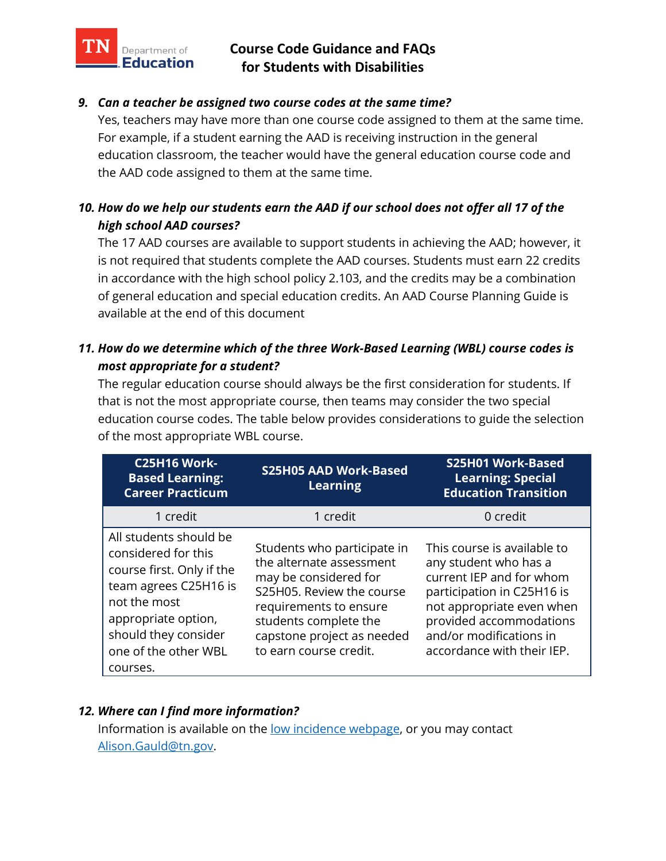

#### *9. Can a teacher be assigned two course codes at the same time?*

Yes, teachers may have more than one course code assigned to them at the same time. For example, if a student earning the AAD is receiving instruction in the general education classroom, the teacher would have the general education course code and the AAD code assigned to them at the same time.

## *10. How do we help our students earn the AAD if our school does not offer all 17 of the high school AAD courses?*

The 17 AAD courses are available to support students in achieving the AAD; however, it is not required that students complete the AAD courses. Students must earn 22 credits in accordance with the high school policy 2.103, and the credits may be a combination of general education and special education credits. An AAD Course Planning Guide is available at the end of this document

## *11. How do we determine which of the three Work-Based Learning (WBL) course codes is most appropriate for a student?*

The regular education course should always be the first consideration for students. If that is not the most appropriate course, then teams may consider the two special education course codes. The table below provides considerations to guide the selection of the most appropriate WBL course.

| C25H16 Work-<br><b>Based Learning:</b><br><b>Career Practicum</b>                                                                                                                                      | <b>S25H05 AAD Work-Based</b><br><b>Learning</b>                                                                                                                                                                          | S25H01 Work-Based<br><b>Learning: Special</b><br><b>Education Transition</b>                                                                                                                                                    |
|--------------------------------------------------------------------------------------------------------------------------------------------------------------------------------------------------------|--------------------------------------------------------------------------------------------------------------------------------------------------------------------------------------------------------------------------|---------------------------------------------------------------------------------------------------------------------------------------------------------------------------------------------------------------------------------|
| 1 credit                                                                                                                                                                                               | 1 credit                                                                                                                                                                                                                 | 0 credit                                                                                                                                                                                                                        |
| All students should be<br>considered for this<br>course first. Only if the<br>team agrees C25H16 is<br>not the most<br>appropriate option,<br>should they consider<br>one of the other WBL<br>courses. | Students who participate in<br>the alternate assessment<br>may be considered for<br>S25H05. Review the course<br>requirements to ensure<br>students complete the<br>capstone project as needed<br>to earn course credit. | This course is available to<br>any student who has a<br>current IEP and for whom<br>participation in C25H16 is<br>not appropriate even when<br>provided accommodations<br>and/or modifications in<br>accordance with their IEP. |

#### *12. Where can I find more information?*

Information is available on the [low incidence webpage,](file:///C:/Users/CA18759/Downloads/n.gov/education/student-support/special-education/low-incidence-.html) or you may contact [Alison.Gauld@tn.gov.](mailto:Alison.Gauld@tn.gov)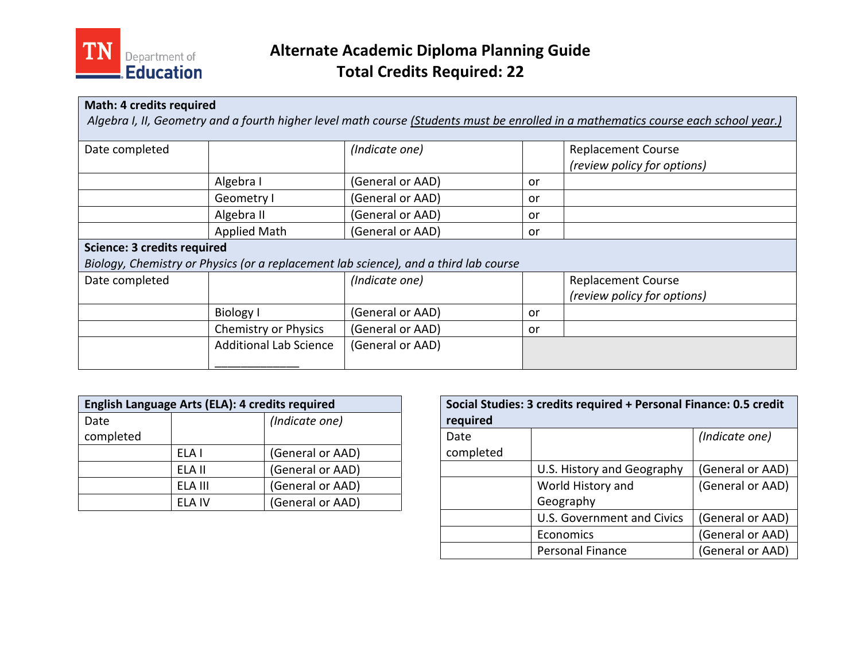

## **Math: 4 credits required**

*Algebra I, II, Geometry and a fourth higher level math course (Students must be enrolled in a mathematics course each school year.)*

| Date completed                     |                               | (Indicate one)                                                                       |    | <b>Replacement Course</b><br>(review policy for options) |
|------------------------------------|-------------------------------|--------------------------------------------------------------------------------------|----|----------------------------------------------------------|
|                                    | Algebra I                     | (General or AAD)                                                                     | or |                                                          |
|                                    | Geometry I                    | (General or AAD)                                                                     | or |                                                          |
|                                    | Algebra II                    | (General or AAD)                                                                     | or |                                                          |
|                                    | <b>Applied Math</b>           | (General or AAD)                                                                     | or |                                                          |
| <b>Science: 3 credits required</b> |                               |                                                                                      |    |                                                          |
|                                    |                               | Biology, Chemistry or Physics (or a replacement lab science), and a third lab course |    |                                                          |
| Date completed                     |                               | (Indicate one)                                                                       |    | <b>Replacement Course</b><br>(review policy for options) |
|                                    | <b>Biology I</b>              | (General or AAD)                                                                     | or |                                                          |
|                                    | <b>Chemistry or Physics</b>   | (General or AAD)                                                                     | or |                                                          |
|                                    | <b>Additional Lab Science</b> | (General or AAD)                                                                     |    |                                                          |

| English Language Arts (ELA): 4 credits required |                |                  |
|-------------------------------------------------|----------------|------------------|
| Date                                            | (Indicate one) |                  |
| completed                                       |                |                  |
|                                                 | ELA I          | (General or AAD) |
|                                                 | ELA II         | (General or AAD) |
|                                                 | ELA III        | (General or AAD) |
|                                                 | FI A IV        | (General or AAD) |

| Social Studies: 3 credits required + Personal Finance: 0.5 credit<br>required |                            |                  |
|-------------------------------------------------------------------------------|----------------------------|------------------|
| Date                                                                          |                            | (Indicate one)   |
| completed                                                                     |                            |                  |
|                                                                               | U.S. History and Geography | (General or AAD) |
|                                                                               | World History and          | (General or AAD) |
|                                                                               | Geography                  |                  |
|                                                                               | U.S. Government and Civics | (General or AAD) |
|                                                                               | Economics                  | (General or AAD) |
|                                                                               | <b>Personal Finance</b>    | (General or AAD) |